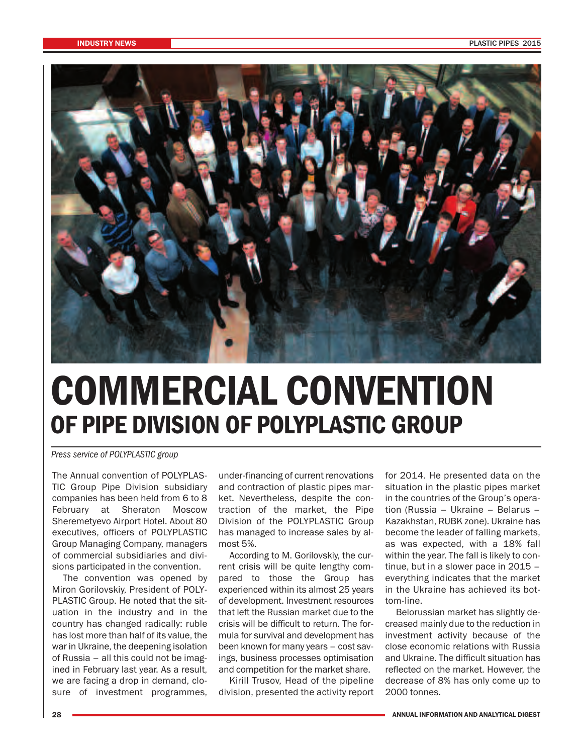

## **COMMERCIAL CONVENTION OF PIPE DIVISION OF POLYPLASTIC GROUP**

*Press service of POLYPLASTIC group*

The Annual convention of POLYPLAS-TIC Group Pipe Division subsidiary companies has been held from 6 to 8 February at Sheraton Moscow Sheremetyevo Airport Hotel. About 80 executives, officers of POLYPLASTIC Group Managing Company, managers of commercial subsidiaries and divisions participated in the convention.

The convention was opened by Miron Gorilovskiy, President of POLY-PLASTIC Group. He noted that the situation in the industry and in the country has changed radically: ruble has lost more than half of its value, the war in Ukraine, the deepening isolation of Russia – all this could not be imagined in February last year. As a result, we are facing a drop in demand, closure of investment programmes,

under-financing of current renovations and contraction of plastic pipes market. Nevertheless, despite the contraction of the market, the Pipe Division of the POLYPLASTIC Group has managed to increase sales by almost 5%.

According to M. Gorilovskiy, the current crisis will be quite lengthy compared to those the Group has experienced within its almost 25 years of development. Investment resources that left the Russian market due to the crisis will be difficult to return. The formula for survival and development has been known for many years – cost savings, business processes optimisation and competition for the market share.

Kirill Trusov, Head of the pipeline division, presented the activity report for 2014. He presented data on the situation in the plastic pipes market in the countries of the Group's operation (Russia – Ukraine – Belarus – Kazakhstan, RUBK zone). Ukraine has become the leader of falling markets, as was expected, with a 18% fall within the year. The fall is likely to continue, but in a slower pace in 2015 – everything indicates that the market in the Ukraine has achieved its bottom-line.

Belorussian market has slightly decreased mainly due to the reduction in investment activity because of the close economic relations with Russia and Ukraine. The difficult situation has reflected on the market. However, the decrease of 8% has only come up to 2000 tonnes.